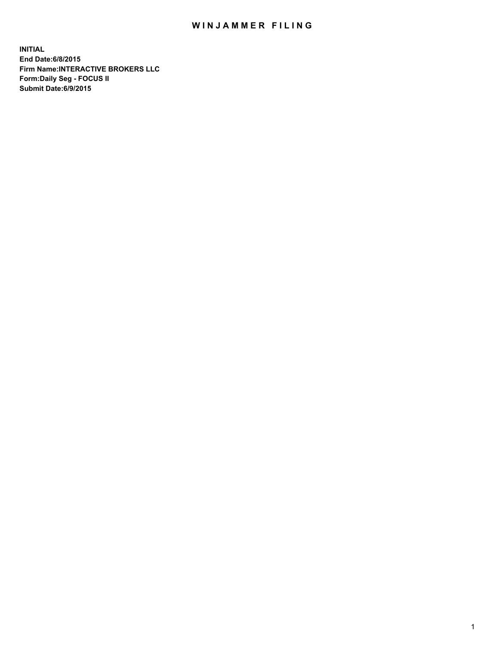## WIN JAMMER FILING

**INITIAL End Date:6/8/2015 Firm Name:INTERACTIVE BROKERS LLC Form:Daily Seg - FOCUS II Submit Date:6/9/2015**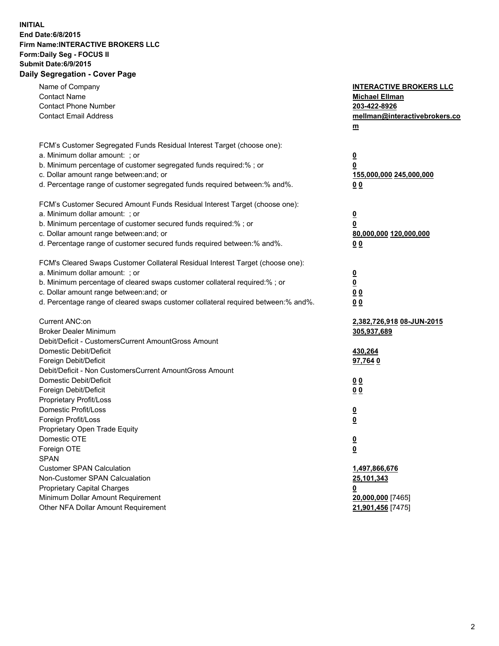## **INITIAL End Date:6/8/2015 Firm Name:INTERACTIVE BROKERS LLC Form:Daily Seg - FOCUS II Submit Date:6/9/2015 Daily Segregation - Cover Page**

| Name of Company                                                                   | <b>INTERACTIVE BROKERS LLC</b> |
|-----------------------------------------------------------------------------------|--------------------------------|
| <b>Contact Name</b>                                                               | <b>Michael Ellman</b>          |
| <b>Contact Phone Number</b>                                                       | 203-422-8926                   |
| <b>Contact Email Address</b>                                                      | mellman@interactivebrokers.co  |
|                                                                                   | $\underline{\mathbf{m}}$       |
| FCM's Customer Segregated Funds Residual Interest Target (choose one):            |                                |
| a. Minimum dollar amount: ; or                                                    | $\overline{\mathbf{0}}$        |
| b. Minimum percentage of customer segregated funds required:% ; or                | 0                              |
| c. Dollar amount range between: and; or                                           | 155,000,000 245,000,000        |
| d. Percentage range of customer segregated funds required between:% and%.         | 00                             |
| FCM's Customer Secured Amount Funds Residual Interest Target (choose one):        |                                |
| a. Minimum dollar amount: ; or                                                    | $\overline{\mathbf{0}}$        |
| b. Minimum percentage of customer secured funds required:% ; or                   | 0                              |
| c. Dollar amount range between: and; or                                           | 80,000,000 120,000,000         |
| d. Percentage range of customer secured funds required between:% and%.            | 00                             |
| FCM's Cleared Swaps Customer Collateral Residual Interest Target (choose one):    |                                |
| a. Minimum dollar amount: ; or                                                    | $\overline{\mathbf{0}}$        |
| b. Minimum percentage of cleared swaps customer collateral required:% ; or        | $\overline{\mathbf{0}}$        |
| c. Dollar amount range between: and; or                                           | 0 <sub>0</sub>                 |
| d. Percentage range of cleared swaps customer collateral required between:% and%. | 0 <sub>0</sub>                 |
|                                                                                   |                                |
| Current ANC:on                                                                    | 2,382,726,918 08-JUN-2015      |
| <b>Broker Dealer Minimum</b>                                                      | 305,937,689                    |
| Debit/Deficit - CustomersCurrent AmountGross Amount                               |                                |
| Domestic Debit/Deficit                                                            | 430,264                        |
| Foreign Debit/Deficit                                                             | 97,764 0                       |
| Debit/Deficit - Non CustomersCurrent AmountGross Amount                           |                                |
| Domestic Debit/Deficit                                                            | 0 <sub>0</sub>                 |
| Foreign Debit/Deficit                                                             | 0 <sub>0</sub>                 |
| Proprietary Profit/Loss                                                           |                                |
| Domestic Profit/Loss                                                              | $\overline{\mathbf{0}}$        |
| Foreign Profit/Loss                                                               | $\underline{\mathbf{0}}$       |
| Proprietary Open Trade Equity                                                     |                                |
| Domestic OTE                                                                      | <u>0</u>                       |
| Foreign OTE                                                                       | <u>0</u>                       |
| <b>SPAN</b>                                                                       |                                |
| <b>Customer SPAN Calculation</b>                                                  | 1,497,866,676                  |
| Non-Customer SPAN Calcualation                                                    | 25,101,343                     |
| Proprietary Capital Charges                                                       | <u>0</u>                       |
| Minimum Dollar Amount Requirement                                                 | 20,000,000 [7465]              |
| Other NFA Dollar Amount Requirement                                               | 21,901,456 [7475]              |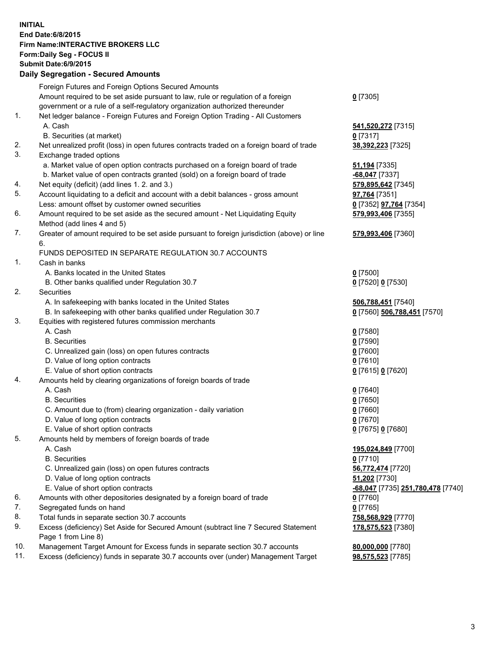## **INITIAL End Date:6/8/2015 Firm Name:INTERACTIVE BROKERS LLC Form:Daily Seg - FOCUS II Submit Date:6/9/2015 Daily Segregation - Secured Amounts**

|     | Foreign Futures and Foreign Options Secured Amounts                                         |                                   |
|-----|---------------------------------------------------------------------------------------------|-----------------------------------|
|     | Amount required to be set aside pursuant to law, rule or regulation of a foreign            | $0$ [7305]                        |
|     | government or a rule of a self-regulatory organization authorized thereunder                |                                   |
| 1.  | Net ledger balance - Foreign Futures and Foreign Option Trading - All Customers             |                                   |
|     | A. Cash                                                                                     | 541,520,272 [7315]                |
|     | B. Securities (at market)                                                                   | $0$ [7317]                        |
| 2.  | Net unrealized profit (loss) in open futures contracts traded on a foreign board of trade   | 38,392,223 [7325]                 |
| 3.  | Exchange traded options                                                                     |                                   |
|     | a. Market value of open option contracts purchased on a foreign board of trade              | <b>51,194</b> [7335]              |
|     | b. Market value of open contracts granted (sold) on a foreign board of trade                | $-68,047$ [7337]                  |
| 4.  | Net equity (deficit) (add lines 1. 2. and 3.)                                               | 579,895,642 [7345]                |
| 5.  | Account liquidating to a deficit and account with a debit balances - gross amount           | 97,764 [7351]                     |
|     | Less: amount offset by customer owned securities                                            | 0 [7352] 97,764 [7354]            |
| 6.  | Amount required to be set aside as the secured amount - Net Liquidating Equity              | 579,993,406 [7355]                |
|     | Method (add lines 4 and 5)                                                                  |                                   |
| 7.  | Greater of amount required to be set aside pursuant to foreign jurisdiction (above) or line | 579,993,406 [7360]                |
|     | 6.                                                                                          |                                   |
|     | FUNDS DEPOSITED IN SEPARATE REGULATION 30.7 ACCOUNTS                                        |                                   |
| 1.  | Cash in banks                                                                               |                                   |
|     | A. Banks located in the United States                                                       | $0$ [7500]                        |
|     | B. Other banks qualified under Regulation 30.7                                              | 0 [7520] 0 [7530]                 |
| 2.  | Securities                                                                                  |                                   |
|     | A. In safekeeping with banks located in the United States                                   | 506,788,451 [7540]                |
|     | B. In safekeeping with other banks qualified under Regulation 30.7                          | 0 [7560] 506,788,451 [7570]       |
| 3.  | Equities with registered futures commission merchants                                       |                                   |
|     | A. Cash                                                                                     | $0$ [7580]                        |
|     | <b>B.</b> Securities                                                                        | $0$ [7590]                        |
|     | C. Unrealized gain (loss) on open futures contracts                                         | $0$ [7600]                        |
|     | D. Value of long option contracts                                                           | $0$ [7610]                        |
|     | E. Value of short option contracts                                                          | 0 [7615] 0 [7620]                 |
| 4.  | Amounts held by clearing organizations of foreign boards of trade                           |                                   |
|     | A. Cash                                                                                     | $0$ [7640]                        |
|     | <b>B.</b> Securities                                                                        | $0$ [7650]                        |
|     | C. Amount due to (from) clearing organization - daily variation                             | $0$ [7660]                        |
|     | D. Value of long option contracts                                                           | $0$ [7670]                        |
|     | E. Value of short option contracts                                                          | 0 [7675] 0 [7680]                 |
| 5.  | Amounts held by members of foreign boards of trade                                          |                                   |
|     | A. Cash                                                                                     | 195,024,849 [7700]                |
|     | <b>B.</b> Securities                                                                        | $0$ [7710]                        |
|     | C. Unrealized gain (loss) on open futures contracts                                         | 56,772,474 [7720]                 |
|     | D. Value of long option contracts                                                           | 51,202 [7730]                     |
|     | E. Value of short option contracts                                                          | -68,047 [7735] 251,780,478 [7740] |
| 6.  | Amounts with other depositories designated by a foreign board of trade                      | $0$ [7760]                        |
| 7.  | Segregated funds on hand                                                                    | $0$ [7765]                        |
| 8.  | Total funds in separate section 30.7 accounts                                               | 758,568,929 [7770]                |
| 9.  | Excess (deficiency) Set Aside for Secured Amount (subtract line 7 Secured Statement         | 178,575,523 [7380]                |
|     | Page 1 from Line 8)                                                                         |                                   |
| 10. | Management Target Amount for Excess funds in separate section 30.7 accounts                 | 80,000,000 [7780]                 |
| 11. | Excess (deficiency) funds in separate 30.7 accounts over (under) Management Target          | 98,575,523 [7785]                 |
|     |                                                                                             |                                   |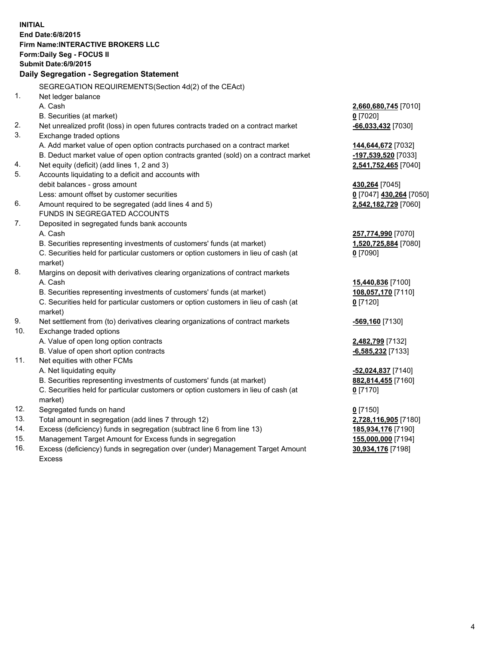**INITIAL End Date:6/8/2015 Firm Name:INTERACTIVE BROKERS LLC Form:Daily Seg - FOCUS II Submit Date:6/9/2015 Daily Segregation - Segregation Statement** SEGREGATION REQUIREMENTS(Section 4d(2) of the CEAct) 1. Net ledger balance A. Cash **2,660,680,745** [7010] B. Securities (at market) **0** [7020] 2. Net unrealized profit (loss) in open futures contracts traded on a contract market **-66,033,432** [7030] 3. Exchange traded options A. Add market value of open option contracts purchased on a contract market **144,644,672** [7032] B. Deduct market value of open option contracts granted (sold) on a contract market **-197,539,520** [7033] 4. Net equity (deficit) (add lines 1, 2 and 3) **2,541,752,465** [7040] 5. Accounts liquidating to a deficit and accounts with debit balances - gross amount **430,264** [7045] Less: amount offset by customer securities **0** [7047] **430,264** [7050] 6. Amount required to be segregated (add lines 4 and 5) **2,542,182,729** [7060] FUNDS IN SEGREGATED ACCOUNTS 7. Deposited in segregated funds bank accounts A. Cash **257,774,990** [7070] B. Securities representing investments of customers' funds (at market) **1,520,725,884** [7080] C. Securities held for particular customers or option customers in lieu of cash (at market) **0** [7090] 8. Margins on deposit with derivatives clearing organizations of contract markets A. Cash **15,440,836** [7100] B. Securities representing investments of customers' funds (at market) **108,057,170** [7110] C. Securities held for particular customers or option customers in lieu of cash (at market) **0** [7120] 9. Net settlement from (to) derivatives clearing organizations of contract markets **-569,160** [7130] 10. Exchange traded options A. Value of open long option contracts **2,482,799** [7132] B. Value of open short option contracts **-6,585,232** [7133] 11. Net equities with other FCMs A. Net liquidating equity **-52,024,837** [7140] B. Securities representing investments of customers' funds (at market) **882,814,455** [7160] C. Securities held for particular customers or option customers in lieu of cash (at market) **0** [7170] 12. Segregated funds on hand **0** [7150] 13. Total amount in segregation (add lines 7 through 12) **2,728,116,905** [7180] 14. Excess (deficiency) funds in segregation (subtract line 6 from line 13) **185,934,176** [7190] 15. Management Target Amount for Excess funds in segregation **155,000,000** [7194]

16. Excess (deficiency) funds in segregation over (under) Management Target Amount Excess

**30,934,176** [7198]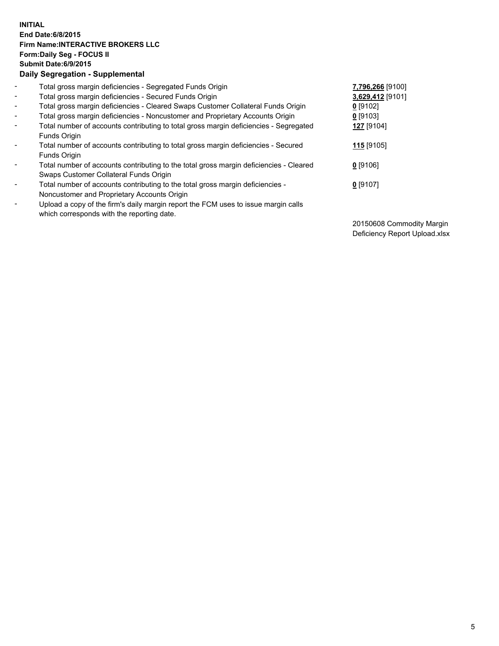## **INITIAL End Date:6/8/2015 Firm Name:INTERACTIVE BROKERS LLC Form:Daily Seg - FOCUS II Submit Date:6/9/2015 Daily Segregation - Supplemental**

| $\blacksquare$ | Total gross margin deficiencies - Segregated Funds Origin                              | 7,796,266 [9100] |  |
|----------------|----------------------------------------------------------------------------------------|------------------|--|
| $\sim$         | Total gross margin deficiencies - Secured Funds Origin                                 | 3,629,412 [9101] |  |
| $\blacksquare$ | Total gross margin deficiencies - Cleared Swaps Customer Collateral Funds Origin       | $0$ [9102]       |  |
| $\blacksquare$ | Total gross margin deficiencies - Noncustomer and Proprietary Accounts Origin          | 0 [9103]         |  |
| $\blacksquare$ | Total number of accounts contributing to total gross margin deficiencies - Segregated  | 127 [9104]       |  |
|                | Funds Origin                                                                           |                  |  |
| $\blacksquare$ | Total number of accounts contributing to total gross margin deficiencies - Secured     | 115 [9105]       |  |
|                | Funds Origin                                                                           |                  |  |
|                | Total number of accounts contributing to the total gross margin deficiencies - Cleared | $0$ [9106]       |  |
|                | Swaps Customer Collateral Funds Origin                                                 |                  |  |
| $\blacksquare$ | Total number of accounts contributing to the total gross margin deficiencies -         | $0$ [9107]       |  |
|                | Noncustomer and Proprietary Accounts Origin                                            |                  |  |
| $\blacksquare$ | Upload a copy of the firm's daily margin report the FCM uses to issue margin calls     |                  |  |
|                | which corresponds with the reporting date.                                             |                  |  |

20150608 Commodity Margin Deficiency Report Upload.xlsx